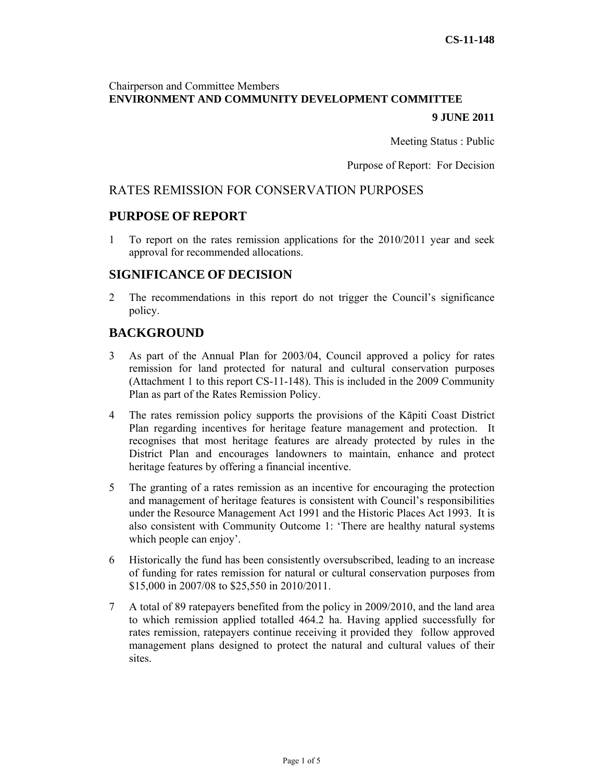# Chairperson and Committee Members **ENVIRONMENT AND COMMUNITY DEVELOPMENT COMMITTEE**

#### **9 JUNE 2011**

Meeting Status : Public

Purpose of Report: For Decision

### RATES REMISSION FOR CONSERVATION PURPOSES

# **PURPOSE OF REPORT**

1 To report on the rates remission applications for the 2010/2011 year and seek approval for recommended allocations.

# **SIGNIFICANCE OF DECISION**

2 The recommendations in this report do not trigger the Council's significance policy.

# **BACKGROUND**

- 3 As part of the Annual Plan for 2003/04, Council approved a policy for rates remission for land protected for natural and cultural conservation purposes (Attachment 1 to this report CS-11-148). This is included in the 2009 Community Plan as part of the Rates Remission Policy.
- 4 The rates remission policy supports the provisions of the Kāpiti Coast District Plan regarding incentives for heritage feature management and protection. It recognises that most heritage features are already protected by rules in the District Plan and encourages landowners to maintain, enhance and protect heritage features by offering a financial incentive.
- 5 The granting of a rates remission as an incentive for encouraging the protection and management of heritage features is consistent with Council's responsibilities under the Resource Management Act 1991 and the Historic Places Act 1993. It is also consistent with Community Outcome 1: 'There are healthy natural systems which people can enjoy'.
- 6 Historically the fund has been consistently oversubscribed, leading to an increase of funding for rates remission for natural or cultural conservation purposes from \$15,000 in 2007/08 to \$25,550 in 2010/2011.
- 7 A total of 89 ratepayers benefited from the policy in 2009/2010, and the land area to which remission applied totalled 464.2 ha. Having applied successfully for rates remission, ratepayers continue receiving it provided they follow approved management plans designed to protect the natural and cultural values of their **sites**.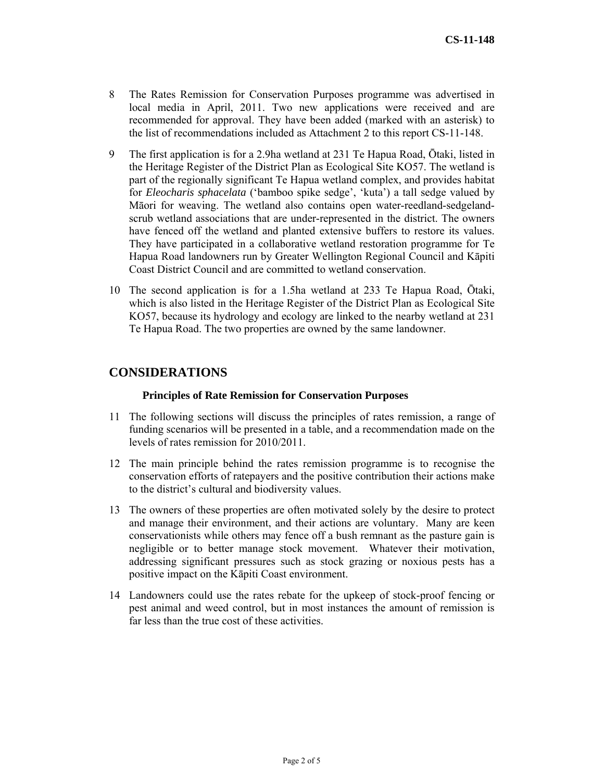- 8 The Rates Remission for Conservation Purposes programme was advertised in local media in April, 2011. Two new applications were received and are recommended for approval. They have been added (marked with an asterisk) to the list of recommendations included as Attachment 2 to this report CS-11-148.
- 9 The first application is for a 2.9ha wetland at 231 Te Hapua Road, Ōtaki, listed in the Heritage Register of the District Plan as Ecological Site KO57. The wetland is part of the regionally significant Te Hapua wetland complex, and provides habitat for *Eleocharis sphacelata* ('bamboo spike sedge', 'kuta') a tall sedge valued by Māori for weaving. The wetland also contains open water-reedland-sedgelandscrub wetland associations that are under-represented in the district. The owners have fenced off the wetland and planted extensive buffers to restore its values. They have participated in a collaborative wetland restoration programme for Te Hapua Road landowners run by Greater Wellington Regional Council and Kāpiti Coast District Council and are committed to wetland conservation.
- 10 The second application is for a 1.5ha wetland at 233 Te Hapua Road, Ōtaki, which is also listed in the Heritage Register of the District Plan as Ecological Site KO57, because its hydrology and ecology are linked to the nearby wetland at 231 Te Hapua Road. The two properties are owned by the same landowner.

# **CONSIDERATIONS**

#### **Principles of Rate Remission for Conservation Purposes**

- 11 The following sections will discuss the principles of rates remission, a range of funding scenarios will be presented in a table, and a recommendation made on the levels of rates remission for 2010/2011.
- 12 The main principle behind the rates remission programme is to recognise the conservation efforts of ratepayers and the positive contribution their actions make to the district's cultural and biodiversity values.
- 13 The owners of these properties are often motivated solely by the desire to protect and manage their environment, and their actions are voluntary. Many are keen conservationists while others may fence off a bush remnant as the pasture gain is negligible or to better manage stock movement. Whatever their motivation, addressing significant pressures such as stock grazing or noxious pests has a positive impact on the Kāpiti Coast environment.
- 14 Landowners could use the rates rebate for the upkeep of stock-proof fencing or pest animal and weed control, but in most instances the amount of remission is far less than the true cost of these activities.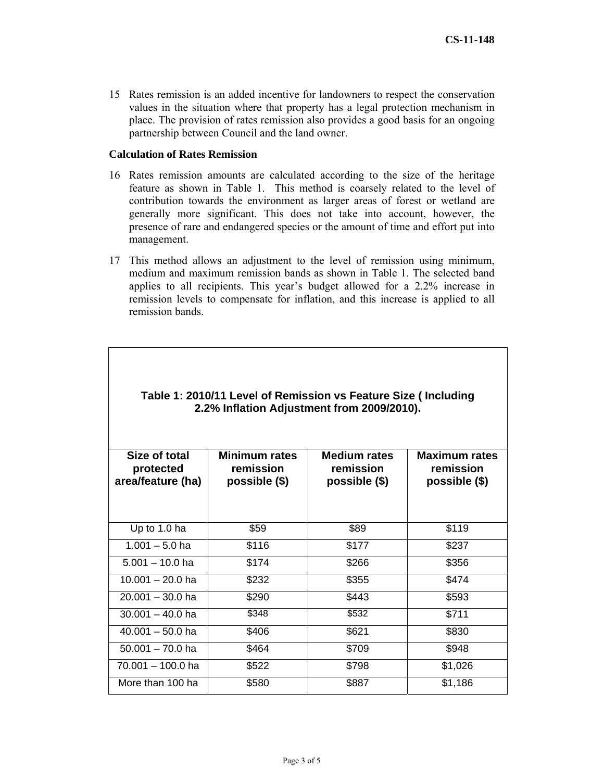15 Rates remission is an added incentive for landowners to respect the conservation values in the situation where that property has a legal protection mechanism in place. The provision of rates remission also provides a good basis for an ongoing partnership between Council and the land owner.

#### **Calculation of Rates Remission**

- 16 Rates remission amounts are calculated according to the size of the heritage feature as shown in Table 1. This method is coarsely related to the level of contribution towards the environment as larger areas of forest or wetland are generally more significant. This does not take into account, however, the presence of rare and endangered species or the amount of time and effort put into management.
- 17 This method allows an adjustment to the level of remission using minimum, medium and maximum remission bands as shown in Table 1. The selected band applies to all recipients. This year's budget allowed for a 2.2% increase in remission levels to compensate for inflation, and this increase is applied to all remission bands.

| Size of total<br>protected | Minimum rates<br>remission | <b>Medium rates</b><br>remission | <b>Maximum rates</b><br>remission |
|----------------------------|----------------------------|----------------------------------|-----------------------------------|
| area/feature (ha)          | possible (\$)              | possible (\$)                    | possible (\$)                     |
|                            |                            |                                  |                                   |
| Up to 1.0 ha               | \$59                       | \$89                             | \$119                             |
| $1.001 - 5.0$ ha           | \$116                      | \$177                            | \$237                             |
| $5.001 - 10.0$ ha          | \$174                      | \$266                            | \$356                             |
| $10.001 - 20.0$ ha         | \$232                      | \$355                            | \$474                             |
| $20.001 - 30.0$ ha         | \$290                      | \$443                            | \$593                             |
| $30.001 - 40.0$ ha         | \$348                      | \$532                            | \$711                             |
| $40.001 - 50.0$ ha         | \$406                      | \$621                            | \$830                             |
| $50.001 - 70.0$ ha         | \$464                      | \$709                            | \$948                             |
| 70.001 - 100.0 ha          | \$522                      | \$798                            | \$1,026                           |
| More than 100 ha           | \$580                      | \$887                            | \$1,186                           |

# **Table 1: 2010/11 Level of Remission vs Feature Size ( Including 2.2% Inflation Adjustment from 2009/2010).**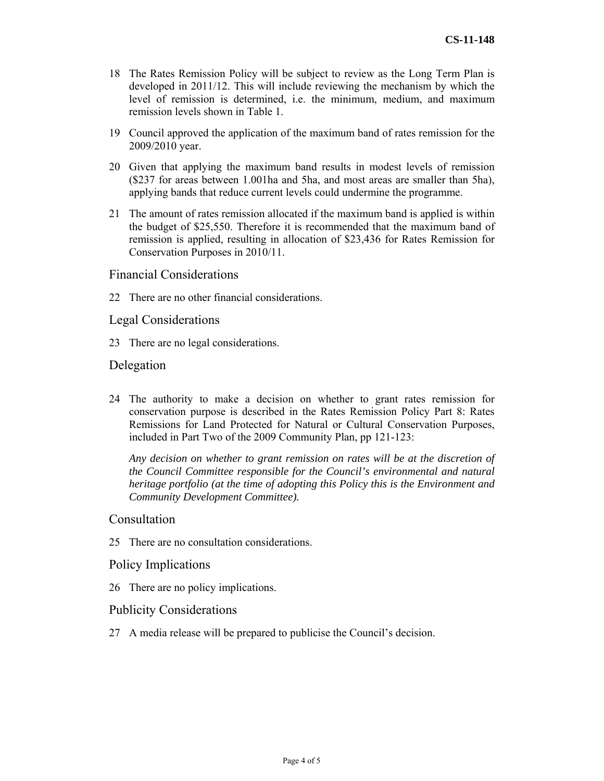- 18 The Rates Remission Policy will be subject to review as the Long Term Plan is developed in 2011/12. This will include reviewing the mechanism by which the level of remission is determined, i.e. the minimum, medium, and maximum remission levels shown in Table 1.
- 19 Council approved the application of the maximum band of rates remission for the 2009/2010 year.
- 20 Given that applying the maximum band results in modest levels of remission (\$237 for areas between 1.001ha and 5ha, and most areas are smaller than 5ha), applying bands that reduce current levels could undermine the programme.
- 21 The amount of rates remission allocated if the maximum band is applied is within the budget of \$25,550. Therefore it is recommended that the maximum band of remission is applied, resulting in allocation of \$23,436 for Rates Remission for Conservation Purposes in 2010/11.

#### Financial Considerations

22 There are no other financial considerations.

#### Legal Considerations

23 There are no legal considerations.

#### Delegation

24 The authority to make a decision on whether to grant rates remission for conservation purpose is described in the Rates Remission Policy Part 8: Rates Remissions for Land Protected for Natural or Cultural Conservation Purposes, included in Part Two of the 2009 Community Plan, pp 121-123:

*Any decision on whether to grant remission on rates will be at the discretion of the Council Committee responsible for the Council's environmental and natural heritage portfolio (at the time of adopting this Policy this is the Environment and Community Development Committee).* 

### Consultation

25 There are no consultation considerations.

### Policy Implications

26 There are no policy implications.

#### Publicity Considerations

27 A media release will be prepared to publicise the Council's decision.